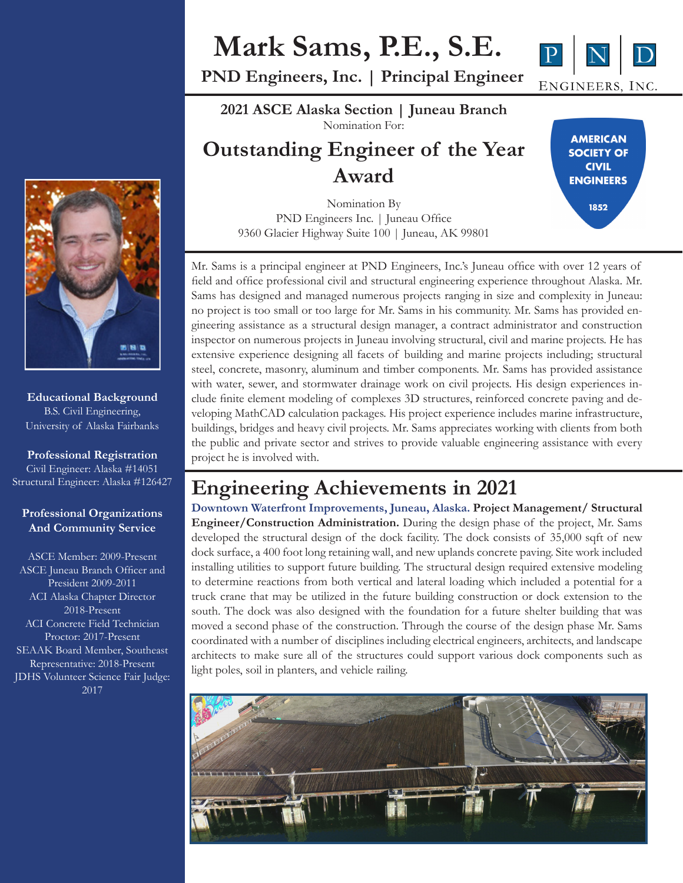# **Mark Sams, P.E., S.E.**



**PND Engineers, Inc. | Principal Engineer**

ENGINEERS, INC.

**AMERICAN SOCIETY OF CIVIL ENGINEERS** 

1852

**2021 ASCE Alaska Section | Juneau Branch** Nomination For:

## **Outstanding Engineer of the Year Award**



Mr. Sams is a principal engineer at PND Engineers, Inc.'s Juneau office with over 12 years of field and office professional civil and structural engineering experience throughout Alaska. Mr. Sams has designed and managed numerous projects ranging in size and complexity in Juneau: no project is too small or too large for Mr. Sams in his community. Mr. Sams has provided engineering assistance as a structural design manager, a contract administrator and construction inspector on numerous projects in Juneau involving structural, civil and marine projects. He has extensive experience designing all facets of building and marine projects including; structural steel, concrete, masonry, aluminum and timber components. Mr. Sams has provided assistance with water, sewer, and stormwater drainage work on civil projects. His design experiences include finite element modeling of complexes 3D structures, reinforced concrete paving and developing MathCAD calculation packages. His project experience includes marine infrastructure, buildings, bridges and heavy civil projects. Mr. Sams appreciates working with clients from both the public and private sector and strives to provide valuable engineering assistance with every project he is involved with.

# **Engineering Achievements in 2021**

**Downtown Waterfront Improvements, Juneau, Alaska. Project Management/ Structural Engineer/Construction Administration.** During the design phase of the project, Mr. Sams developed the structural design of the dock facility. The dock consists of 35,000 sqft of new dock surface, a 400 foot long retaining wall, and new uplands concrete paving. Site work included installing utilities to support future building. The structural design required extensive modeling to determine reactions from both vertical and lateral loading which included a potential for a truck crane that may be utilized in the future building construction or dock extension to the south. The dock was also designed with the foundation for a future shelter building that was moved a second phase of the construction. Through the course of the design phase Mr. Sams coordinated with a number of disciplines including electrical engineers, architects, and landscape architects to make sure all of the structures could support various dock components such as light poles, soil in planters, and vehicle railing.





**Educational Background** B.S. Civil Engineering, University of Alaska Fairbanks

#### **Professional Registration** Civil Engineer: Alaska #14051

Structural Engineer: Alaska #126427

#### **Professional Organizations And Community Service**

ASCE Member: 2009-Present ASCE Juneau Branch Officer and President 2009-2011 ACI Alaska Chapter Director 2018-Present ACI Concrete Field Technician Proctor: 2017-Present SEAAK Board Member, Southeast Representative: 2018-Present JDHS Volunteer Science Fair Judge: 2017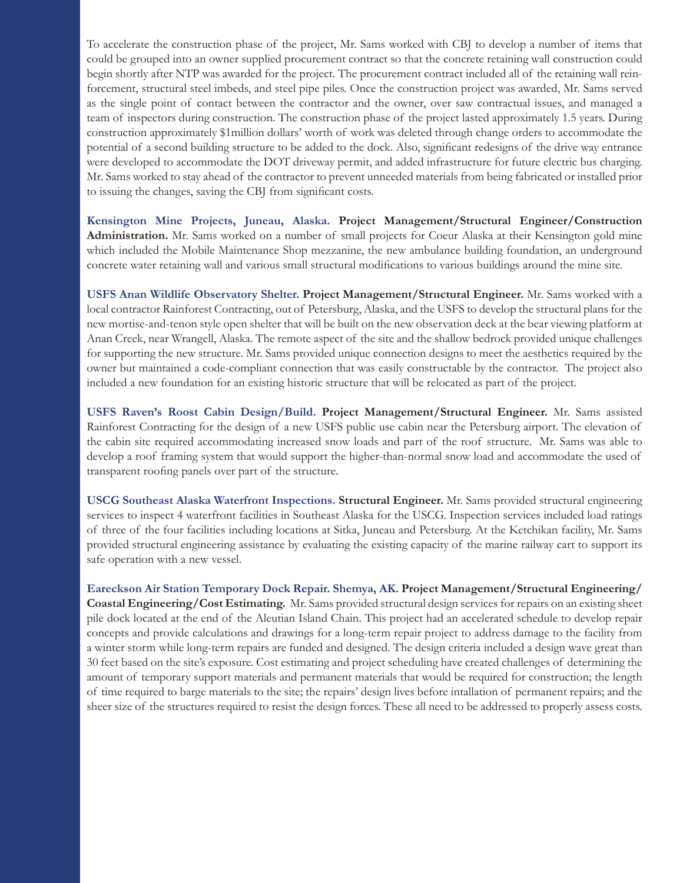To accelerate the construction phase of the project, Mr. Sams worked with CBJ to develop a number of items that could be grouped into an owner supplied procurement contract so that the concrete retaining wall construction could begin shortly after NTP was awarded for the project. The procurement contract included all of the retaining wall reinforcement, structural steel imbeds, and steel pipe piles. Once the construction project was awarded, Mr. Sams served as the single point of contact between the contractor and the owner, over saw contractual issues, and managed a team of inspectors during construction. The construction phase of the project lasted approximately 1.5 years. During construction approximately \$1million dollars' worth of work was deleted through change orders to accommodate the potential of a second building structure to be added to the dock. Also, significant redesigns of the drive way entrance were developed to accommodate the DOT driveway permit, and added infrastructure for future electric bus charging. Mr. Sams worked to stay ahead of the contractor to prevent unneeded materials from being fabricated or installed prior to issuing the changes, saving the CBJ from significant costs.

**Kensington Mine Projects, Juneau, Alaska. Project Management/Structural Engineer/Construction Administration.** Mr. Sams worked on a number of small projects for Coeur Alaska at their Kensington gold mine which included the Mobile Maintenance Shop mezzanine, the new ambulance building foundation, an underground concrete water retaining wall and various small structural modifications to various buildings around the mine site.

**USFS Anan Wildlife Observatory Shelter. Project Management/Structural Engineer.** Mr. Sams worked with a local contractor Rainforest Contracting, out of Petersburg, Alaska, and the USFS to develop the structural plans for the new mortise-and-tenon style open shelter that will be built on the new observation deck at the bear viewing platform at Anan Creek, near Wrangell, Alaska. The remote aspect of the site and the shallow bedrock provided unique challenges for supporting the new structure. Mr. Sams provided unique connection designs to meet the aesthetics required by the owner but maintained a code-compliant connection that was easily constructable by the contractor. The project also included a new foundation for an existing historic structure that will be relocated as part of the project.

**USFS Raven's Roost Cabin Design/Build. Project Management/Structural Engineer.** Mr. Sams assisted Rainforest Contracting for the design of a new USFS public use cabin near the Petersburg airport. The elevation of the cabin site required accommodating increased snow loads and part of the roof structure. Mr. Sams was able to develop a roof framing system that would support the higher-than-normal snow load and accommodate the used of transparent roofing panels over part of the structure.

**USCG Southeast Alaska Waterfront Inspections. Structural Engineer.** Mr. Sams provided structural engineering services to inspect 4 waterfront facilities in Southeast Alaska for the USCG. Inspection services included load ratings of three of the four facilities including locations at Sitka, Juneau and Petersburg. At the Ketchikan facility, Mr. Sams provided structural engineering assistance by evaluating the existing capacity of the marine railway cart to support its safe operation with a new vessel.

**Eareckson Air Station Temporary Dock Repair. Shemya, AK. Project Management/Structural Engineering/ Coastal Engineering/Cost Estimating.** Mr. Sams provided structural design services for repairs on an existing sheet pile dock located at the end of the Aleutian Island Chain. This project had an accelerated schedule to develop repair concepts and provide calculations and drawings for a long-term repair project to address damage to the facility from a winter storm while long-term repairs are funded and designed. The design criteria included a design wave great than 30 feet based on the site's exposure. Cost estimating and project scheduling have created challenges of determining the amount of temporary support materials and permanent materials that would be required for construction; the length of time required to barge materials to the site; the repairs' design lives before intallation of permanent repairs; and the sheer size of the structures required to resist the design forces. These all need to be addressed to properly assess costs.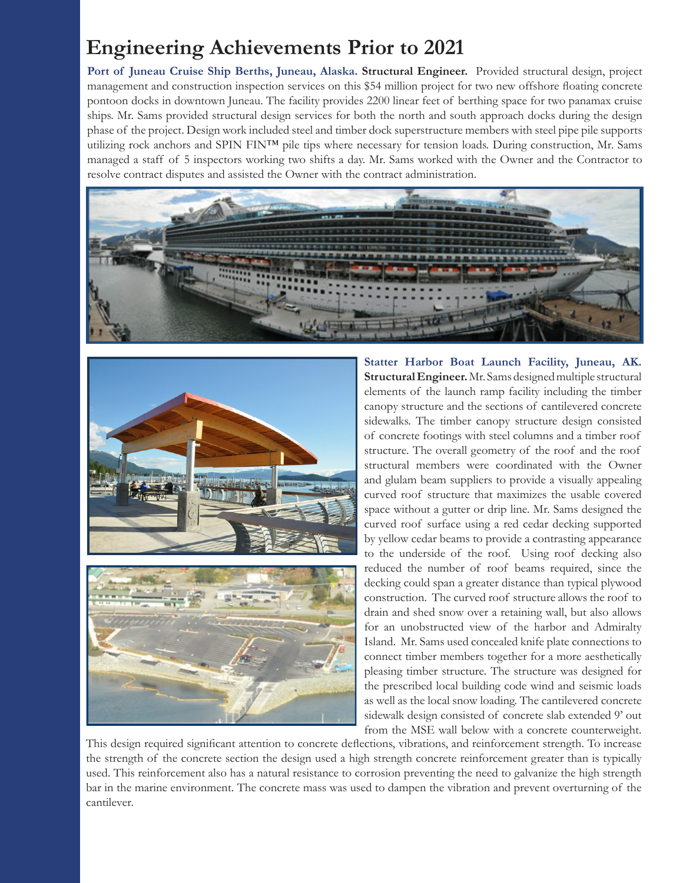### **Engineering Achievements Prior to 2021**

**Port of Juneau Cruise Ship Berths, Juneau, Alaska. Structural Engineer.** Provided structural design, project management and construction inspection services on this \$54 million project for two new offshore floating concrete pontoon docks in downtown Juneau. The facility provides 2200 linear feet of berthing space for two panamax cruise ships. Mr. Sams provided structural design services for both the north and south approach docks during the design phase of the project. Design work included steel and timber dock superstructure members with steel pipe pile supports utilizing rock anchors and SPIN FIN<sup>TM</sup> pile tips where necessary for tension loads. During construction, Mr. Sams managed a staff of 5 inspectors working two shifts a day. Mr. Sams worked with the Owner and the Contractor to resolve contract disputes and assisted the Owner with the contract administration.







**Statter Harbor Boat Launch Facility, Juneau, AK. Structural Engineer.** Mr. Sams designed multiple structural elements of the launch ramp facility including the timber canopy structure and the sections of cantilevered concrete sidewalks. The timber canopy structure design consisted of concrete footings with steel columns and a timber roof structure. The overall geometry of the roof and the roof structural members were coordinated with the Owner and glulam beam suppliers to provide a visually appealing curved roof structure that maximizes the usable covered space without a gutter or drip line. Mr. Sams designed the curved roof surface using a red cedar decking supported by yellow cedar beams to provide a contrasting appearance to the underside of the roof. Using roof decking also reduced the number of roof beams required, since the decking could span a greater distance than typical plywood construction. The curved roof structure allows the roof to drain and shed snow over a retaining wall, but also allows for an unobstructed view of the harbor and Admiralty Island. Mr. Sams used concealed knife plate connections to connect timber members together for a more aesthetically pleasing timber structure. The structure was designed for the prescribed local building code wind and seismic loads as well as the local snow loading. The cantilevered concrete sidewalk design consisted of concrete slab extended 9' out from the MSE wall below with a concrete counterweight.

This design required significant attention to concrete deflections, vibrations, and reinforcement strength. To increase the strength of the concrete section the design used a high strength concrete reinforcement greater than is typically used. This reinforcement also has a natural resistance to corrosion preventing the need to galvanize the high strength bar in the marine environment. The concrete mass was used to dampen the vibration and prevent overturning of the cantilever.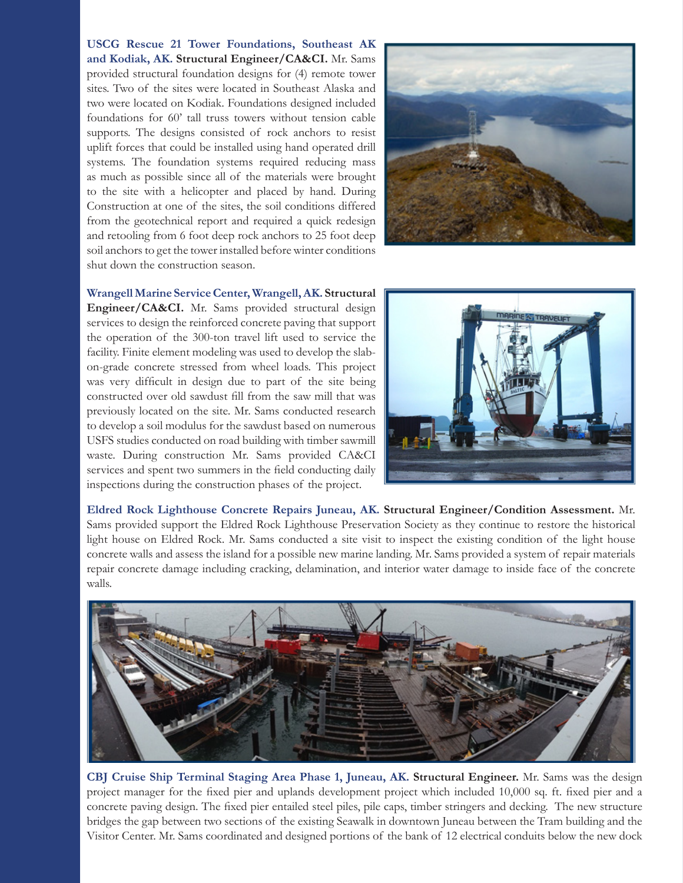**USCG Rescue 21 Tower Foundations, Southeast AK and Kodiak, AK. Structural Engineer/CA&CI.** Mr. Sams provided structural foundation designs for (4) remote tower sites. Two of the sites were located in Southeast Alaska and two were located on Kodiak. Foundations designed included foundations for 60' tall truss towers without tension cable supports. The designs consisted of rock anchors to resist uplift forces that could be installed using hand operated drill systems. The foundation systems required reducing mass as much as possible since all of the materials were brought to the site with a helicopter and placed by hand. During Construction at one of the sites, the soil conditions differed from the geotechnical report and required a quick redesign and retooling from 6 foot deep rock anchors to 25 foot deep soil anchors to get the tower installed before winter conditions shut down the construction season.



**Wrangell Marine Service Center, Wrangell, AK. Structural Engineer/CA&CI.** Mr. Sams provided structural design services to design the reinforced concrete paving that support the operation of the 300-ton travel lift used to service the facility. Finite element modeling was used to develop the slabon-grade concrete stressed from wheel loads. This project was very difficult in design due to part of the site being constructed over old sawdust fill from the saw mill that was previously located on the site. Mr. Sams conducted research to develop a soil modulus for the sawdust based on numerous USFS studies conducted on road building with timber sawmill waste. During construction Mr. Sams provided CA&CI services and spent two summers in the field conducting daily inspections during the construction phases of the project.



**Eldred Rock Lighthouse Concrete Repairs Juneau, AK. Structural Engineer/Condition Assessment.** Mr. Sams provided support the Eldred Rock Lighthouse Preservation Society as they continue to restore the historical light house on Eldred Rock. Mr. Sams conducted a site visit to inspect the existing condition of the light house concrete walls and assess the island for a possible new marine landing. Mr. Sams provided a system of repair materials repair concrete damage including cracking, delamination, and interior water damage to inside face of the concrete walls.



**CBJ Cruise Ship Terminal Staging Area Phase 1, Juneau, AK. Structural Engineer.** Mr. Sams was the design project manager for the fixed pier and uplands development project which included 10,000 sq. ft. fixed pier and a concrete paving design. The fixed pier entailed steel piles, pile caps, timber stringers and decking. The new structure bridges the gap between two sections of the existing Seawalk in downtown Juneau between the Tram building and the Visitor Center. Mr. Sams coordinated and designed portions of the bank of 12 electrical conduits below the new dock